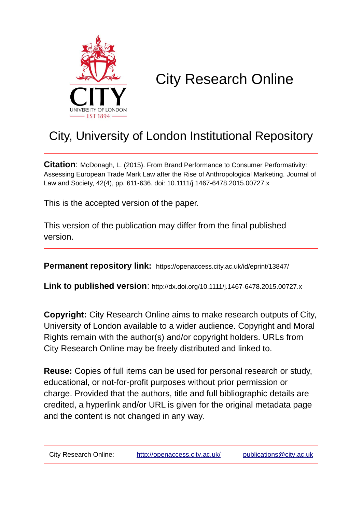

# City Research Online

## City, University of London Institutional Repository

**Citation**: McDonagh, L. (2015). From Brand Performance to Consumer Performativity: Assessing European Trade Mark Law after the Rise of Anthropological Marketing. Journal of Law and Society, 42(4), pp. 611-636. doi: 10.1111/j.1467-6478.2015.00727.x

This is the accepted version of the paper.

This version of the publication may differ from the final published version.

**Permanent repository link:** https://openaccess.city.ac.uk/id/eprint/13847/

**Link to published version**: http://dx.doi.org/10.1111/j.1467-6478.2015.00727.x

**Copyright:** City Research Online aims to make research outputs of City, University of London available to a wider audience. Copyright and Moral Rights remain with the author(s) and/or copyright holders. URLs from City Research Online may be freely distributed and linked to.

**Reuse:** Copies of full items can be used for personal research or study, educational, or not-for-profit purposes without prior permission or charge. Provided that the authors, title and full bibliographic details are credited, a hyperlink and/or URL is given for the original metadata page and the content is not changed in any way.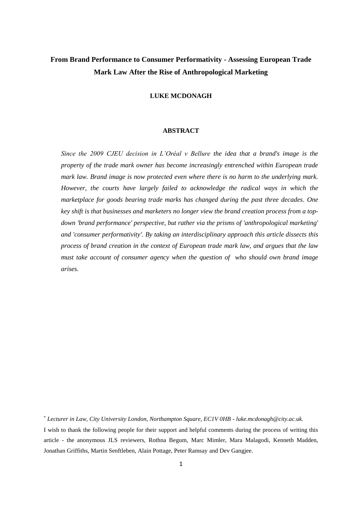## **From Brand Performance to Consumer Performativity - Assessing European Trade Mark Law After the Rise of Anthropological Marketing**

#### **LUKE MCDONAGH**

#### **ABSTRACT**

*Since the 2009 CJEU decision in L'Oréal v Bellure the idea that a brand's image is the property of the trade mark owner has become increasingly entrenched within European trade mark law. Brand image is now protected even where there is no harm to the underlying mark. However, the courts have largely failed to acknowledge the radical ways in which the marketplace for goods bearing trade marks has changed during the past three decades. One key shift is that businesses and marketers no longer view the brand creation process from a topdown 'brand performance' perspective, but rather via the prisms of 'anthropological marketing' and 'consumer performativity'. By taking an interdisciplinary approach this article dissects this process of brand creation in the context of European trade mark law, and argues that the law must take account of consumer agency when the question of who should own brand image arises.*

*Lecturer in Law, City University London, Northampton Square, EC1V 0HB - luke.mcdonagh@city.ac.uk.*

I wish to thank the following people for their support and helpful comments during the process of writing this article - the anonymous JLS reviewers, Rothna Begum, Marc Mimler, Mara Malagodi, Kenneth Madden, Jonathan Griffiths, Martin Senftleben, Alain Pottage, Peter Ramsay and Dev Gangjee.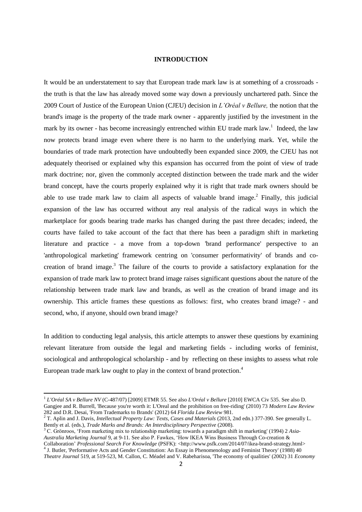#### **INTRODUCTION**

It would be an understatement to say that European trade mark law is at something of a crossroads the truth is that the law has already moved some way down a previously unchartered path. Since the 2009 Court of Justice of the European Union (CJEU) decision in *L'Oréal v Bellure,* the notion that the brand's image is the property of the trade mark owner - apparently justified by the investment in the mark by its owner - has become increasingly entrenched within EU trade mark law.<sup>1</sup> Indeed, the law now protects brand image even where there is no harm to the underlying mark. Yet, while the boundaries of trade mark protection have undoubtedly been expanded since 2009, the CJEU has not adequately theorised or explained why this expansion has occurred from the point of view of trade mark doctrine; nor, given the commonly accepted distinction between the trade mark and the wider brand concept, have the courts properly explained why it is right that trade mark owners should be able to use trade mark law to claim all aspects of valuable brand image.<sup>2</sup> Finally, this judicial expansion of the law has occurred without any real analysis of the radical ways in which the marketplace for goods bearing trade marks has changed during the past three decades; indeed, the courts have failed to take account of the fact that there has been a paradigm shift in marketing literature and practice - a move from a top-down 'brand performance' perspective to an 'anthropological marketing' framework centring on 'consumer performativity' of brands and cocreation of brand image. <sup>3</sup> The failure of the courts to provide a satisfactory explanation for the expansion of trade mark law to protect brand image raises significant questions about the nature of the relationship between trade mark law and brands, as well as the creation of brand image and its ownership. This article frames these questions as follows: first, who creates brand image? - and second, who, if anyone, should own brand image?

In addition to conducting legal analysis, this article attempts to answer these questions by examining relevant literature from outside the legal and marketing fields - including works of feminist, sociological and anthropological scholarship - and by reflecting on these insights to assess what role European trade mark law ought to play in the context of brand protection. 4

**.** 

<sup>3</sup> C. Grönroos, 'From marketing mix to relationship marketing: towards a paradigm shift in marketing' (1994) 2 *Asia-Australia Marketing Journal* 9, at 9-11. See also P. Fawkes, 'How IKEA Wins Business Through Co-creation & Collaboration' *Professional Search For Knowledge* (PSFK): <http://www.psfk.com/2014/07/ikea-brand-strategy.html> 4 J. Butler, 'Performative Acts and Gender Constitution: An Essay in Phenomenology and Feminist Theory' (1988) 40

<sup>1</sup> *L'Oréal SA v Bellure NV* (C-487/07) [2009] ETMR 55. See also *L'Oréal v Bellure* [2010] EWCA Civ 535. See also D. Gangjee and R. Burrell, 'Because you're worth it: L'Oreal and the prohibition on free-riding' (2010) 73 *Modern Law Review* 282 and D.R. Desai, 'From Trademarks to Brands' (2012) 64 *Florida Law Review* 981.

<sup>2</sup> T. Aplin and J. Davis, *Intellectual Property Law: Texts, Cases and Materials* (2013, 2nd edn.) 377-390. See generally L. Bently et al. (eds.), *Trade Marks and Brands: An Interdisciplinary Perspective* (2008).

*Theatre Journal* 519, at 519-523, M. Callon, C. Méadel and V. Rabeharisoa, 'The economy of qualities' (2002) 31 *Economy*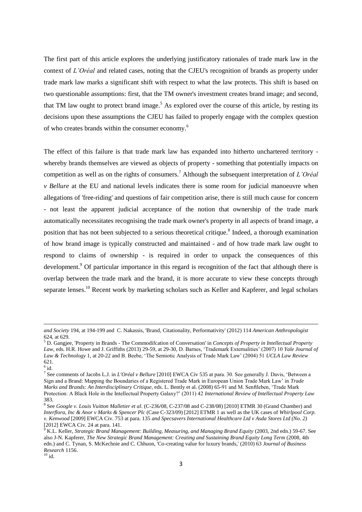The first part of this article explores the underlying justificatory rationales of trade mark law in the context of *L'Oréal* and related cases, noting that the CJEU's recognition of brands as property under trade mark law marks a significant shift with respect to what the law protects. This shift is based on two questionable assumptions: first, that the TM owner's investment creates brand image; and second, that TM law ought to protect brand image. <sup>5</sup> As explored over the course of this article, by resting its decisions upon these assumptions the CJEU has failed to properly engage with the complex question of who creates brands within the consumer economy. 6

The effect of this failure is that trade mark law has expanded into hitherto unchartered territory whereby brands themselves are viewed as objects of property - something that potentially impacts on competition as well as on the rights of consumers. <sup>7</sup> Although the subsequent interpretation of *L'Oréal v Bellure* at the EU and national levels indicates there is some room for judicial manoeuvre when allegations of 'free-riding' and questions of fair competition arise, there is still much cause for concern - not least the apparent judicial acceptance of the notion that ownership of the trade mark automatically necessitates recognising the trade mark owner's property in all aspects of brand image, a position that has not been subjected to a serious theoretical critique.<sup>8</sup> Indeed, a thorough examination of how brand image is typically constructed and maintained - and of how trade mark law ought to respond to claims of ownership - is required in order to unpack the consequences of this development.<sup>9</sup> Of particular importance in this regard is recognition of the fact that although there is overlap between the trade mark and the brand, it is more accurate to view these concepts through separate lenses.<sup>10</sup> Recent work by marketing scholars such as Keller and Kapferer, and legal scholars

 $\overline{\phantom{a}}$ 

*and Society* 194, at 194-199 and C. Nakassis, 'Brand, Citationality, Performativity' (2012) 114 *American Anthropologist* 624, at 629.

<sup>5</sup> D. Gangjee, 'Property in Brands - The Commodifcation of Conversation' in *Concepts of Property in Intellectual Property Law,* eds. H.R. Howe and J. Griffiths (2013) 29-59, at 29-30, D. Barnes, 'Trademark Externalities' (2007) 10 *Yale Journal of Law & Technology* 1, at 20-22 and B. Beebe, 'The Semiotic Analysis of Trade Mark Law' (2004) 51 *UCLA Law Review* 621.

 $6$  id.

<sup>7</sup> See comments of Jacobs L.J. in *L'Oréal v Bellure* [2010] EWCA Civ 535 at para. 30. See generally J. Davis, 'Between a Sign and a Brand: Mapping the Boundaries of a Registered Trade Mark in European Union Trade Mark Law' in *Trade Marks and Brands: An Interdisciplinary Critique,* eds. L. Bently et al. (2008) 65-91 and M. Senftleben, 'Trade Mark Protection: A Black Hole in the Intellectual Property Galaxy?' (2011) 42 *International Review of Intellectual Property Law* 383.

<sup>8</sup> See *Google v. Louis Vuitton Malletier et al.* (C-236/08, C-237/08 and C-238/08) [2010] ETMR 30 (Grand Chamber) and *Interflora, Inc & Anor v Marks & Spencer Plc* (Case C-323/09) [2012] ETMR 1 as well as the UK cases of *Whirlpool Corp. v. Kenwood* [2009] EWCA Civ. 753 at para. 135 *and Specsavers International Healthcare Ltd v Asda Stores Ltd (No. 2)*  [2012] EWCA Civ. 24 at para. 141.

<sup>&</sup>lt;sup>5</sup> K.L. Keller, *Strategic Brand Management: Building, Measuring, and Managing Brand Equity* (2003, 2nd edn.) 59-67. See also J-N. Kapferer, *The New Strategic Brand Management: Creating and Sustaining Brand Equity Long Term* (2008, 4th edn.) and C. Tynan, S. McKechnie and C. Chhuon, 'Co-creating value for luxury brands,' (2010) 63 *Journal of Business Research* 1156.

 $10$  id.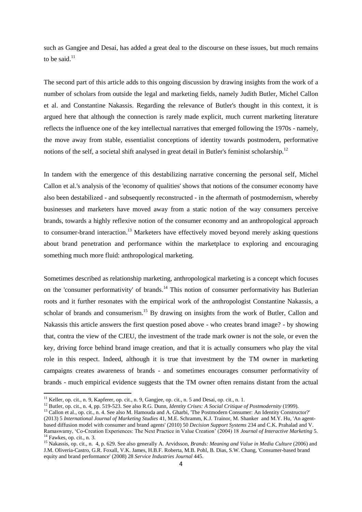such as Gangjee and Desai, has added a great deal to the discourse on these issues, but much remains to be said. $11$ 

The second part of this article adds to this ongoing discussion by drawing insights from the work of a number of scholars from outside the legal and marketing fields, namely Judith Butler, Michel Callon et al. and Constantine Nakassis. Regarding the relevance of Butler's thought in this context, it is argued here that although the connection is rarely made explicit, much current marketing literature reflects the influence one of the key intellectual narratives that emerged following the 1970s - namely, the move away from stable, essentialist conceptions of identity towards postmodern, performative notions of the self, a societal shift analysed in great detail in Butler's feminist scholarship.<sup>12</sup>

In tandem with the emergence of this destabilizing narrative concerning the personal self, Michel Callon et al.'s analysis of the 'economy of qualities' shows that notions of the consumer economy have also been destabilized - and subsequently reconstructed - in the aftermath of postmodernism, whereby businesses and marketers have moved away from a static notion of the way consumers perceive brands, towards a highly reflexive notion of the consumer economy and an anthropological approach to consumer-brand interaction.<sup>13</sup> Marketers have effectively moved beyond merely asking questions about brand penetration and performance within the marketplace to exploring and encouraging something much more fluid: anthropological marketing.

Sometimes described as relationship marketing, anthropological marketing is a concept which focuses on the 'consumer performativity' of brands.<sup>14</sup> This notion of consumer performativity has Butlerian roots and it further resonates with the empirical work of the anthropologist Constantine Nakassis, a scholar of brands and consumerism.<sup>15</sup> By drawing on insights from the work of Butler, Callon and Nakassis this article answers the first question posed above - who creates brand image? - by showing that, contra the view of the CJEU, the investment of the trade mark owner is not the sole, or even the key, driving force behind brand image creation, and that it is actually consumers who play the vital role in this respect. Indeed, although it is true that investment by the TM owner in marketing campaigns creates awareness of brands - and sometimes encourages consumer performativity of brands - much empirical evidence suggests that the TM owner often remains distant from the actual

 $11$  Keller, op. cit., n. 9, Kapferer, op. cit., n. 9, Gangjee, op. cit., n. 5 and Desai, op. cit., n. 1.

<sup>12</sup> Butler, op. cit., n. 4, pp. 519-523. See also R.G. Dunn, *Identity Crises: A Social Critique of Postmodernity* (1999).

<sup>&</sup>lt;sup>13</sup> Callon et al., op. cit., n. 4. See also M. Hamouda and A. Gharbi, 'The Postmodern Consumer: An Identity Constructor?' (2013) 5 *International Journal of Marketing Studies* 41, M.E. Schramm, K.J. Trainor, M. Shanker and M.Y. Hu, 'An agentbased diffusion model with consumer and brand agents' (2010) 50 *Decision Support Systems* 234 and C.K. Prahalad and V. Ramaswamy, 'Co-Creation Experiences: The Next Practice in Value Creation' (2004) 18 *Journal of Interactive Marketing* 5.  $14$  Fawkes, op. cit., n. 3.

<sup>15</sup> Nakassis, op. cit., n. 4, p. 629. See also generally A. Arvidsson, *Brands: Meaning and Value in Media Culture* (2006) and J.M. Oliveria-Castro, G.R. Foxall, V.K. James, H.B.F. Roberta, M.B. Pohl, B. Dias, S.W. Chang, 'Consumer-based brand equity and brand performance' (2008) 28 *Service Industries Journal* 445.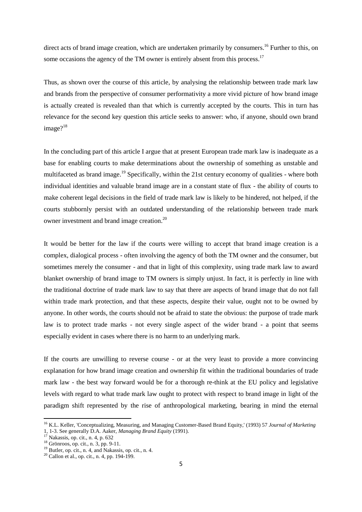direct acts of brand image creation, which are undertaken primarily by consumers.<sup>16</sup> Further to this, on some occasions the agency of the TM owner is entirely absent from this process.<sup>17</sup>

Thus, as shown over the course of this article, by analysing the relationship between trade mark law and brands from the perspective of consumer performativity a more vivid picture of how brand image is actually created is revealed than that which is currently accepted by the courts. This in turn has relevance for the second key question this article seeks to answer: who, if anyone, should own brand image?<sup>18</sup>

In the concluding part of this article I argue that at present European trade mark law is inadequate as a base for enabling courts to make determinations about the ownership of something as unstable and multifaceted as brand image.<sup>19</sup> Specifically, within the 21st century economy of qualities - where both individual identities and valuable brand image are in a constant state of flux - the ability of courts to make coherent legal decisions in the field of trade mark law is likely to be hindered, not helped, if the courts stubbornly persist with an outdated understanding of the relationship between trade mark owner investment and brand image creation.<sup>20</sup>

It would be better for the law if the courts were willing to accept that brand image creation is a complex, dialogical process - often involving the agency of both the TM owner and the consumer, but sometimes merely the consumer - and that in light of this complexity, using trade mark law to award blanket ownership of brand image to TM owners is simply unjust. In fact, it is perfectly in line with the traditional doctrine of trade mark law to say that there are aspects of brand image that do not fall within trade mark protection, and that these aspects, despite their value, ought not to be owned by anyone. In other words, the courts should not be afraid to state the obvious: the purpose of trade mark law is to protect trade marks - not every single aspect of the wider brand - a point that seems especially evident in cases where there is no harm to an underlying mark.

If the courts are unwilling to reverse course - or at the very least to provide a more convincing explanation for how brand image creation and ownership fit within the traditional boundaries of trade mark law - the best way forward would be for a thorough re-think at the EU policy and legislative levels with regard to what trade mark law ought to protect with respect to brand image in light of the paradigm shift represented by the rise of anthropological marketing, bearing in mind the eternal

 $\overline{\phantom{a}}$ 

<sup>16</sup> K.L. Keller, 'Conceptualizing, Measuring, and Managing Customer-Based Brand Equity,' (1993) 57 *Journal of Marketing*

<sup>1, 1-3.</sup> See generally D.A. Aaker, *Managing Brand Equity* (1991).

Nakassis, op. cit., n. 4, p. 632

<sup>18</sup> Grönroos, op. cit., n. 3, pp. 9-11.

 $19$  Butler, op. cit., n. 4, and Nakassis, op. cit., n. 4.

<sup>20</sup> Callon et al., op. cit., n. 4, pp. 194-199.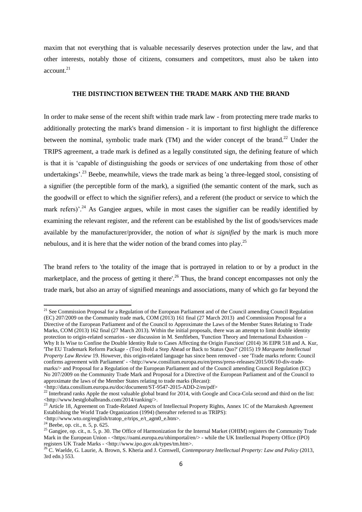maxim that not everything that is valuable necessarily deserves protection under the law, and that other interests, notably those of citizens, consumers and competitors, must also be taken into account. 21

#### **THE DISTINCTION BETWEEN THE TRADE MARK AND THE BRAND**

In order to make sense of the recent shift within trade mark law - from protecting mere trade marks to additionally protecting the mark's brand dimension - it is important to first highlight the difference between the nominal, symbolic trade mark  $(TM)$  and the wider concept of the brand.<sup>22</sup> Under the TRIPS agreement, a trade mark is defined as a legally constituted sign, the defining feature of which is that it is 'capable of distinguishing the goods or services of one undertaking from those of other undertakings'.<sup>23</sup> Beebe, meanwhile, views the trade mark as being 'a three-legged stool, consisting of a signifier (the perceptible form of the mark), a signified (the semantic content of the mark, such as the goodwill or effect to which the signifier refers), and a referent (the product or service to which the mark refers)'.<sup>24</sup> As Gangjee argues, while in most cases the signifier can be readily identified by examining the relevant register, and the referent can be established by the list of goods/services made available by the manufacturer/provider, the notion of *what is signified* by the mark is much more nebulous, and it is here that the wider notion of the brand comes into play.<sup>25</sup>

The brand refers to 'the totality of the image that is portrayed in relation to or by a product in the marketplace, and the process of getting it there'.<sup>26</sup> Thus, the brand concept encompasses not only the trade mark, but also an array of signified meanings and associations, many of which go far beyond the

<sup>&</sup>lt;sup>21</sup> See Commission Proposal for a Regulation of the European Parliament and of the Council amending Council Regulation (EC) 207/2009 on the Community trade mark, COM (2013) 161 final (27 March 2013) and Commission Proposal for a Directive of the European Parliament and of the Council to Approximate the Laws of the Member States Relating to Trade Marks, COM (2013) 162 final (27 March 2013). Within the initial proposals, there was an attempt to limit double identity protection to origin-related scenarios - see discussion in M. Senftleben, 'Function Theory and International Exhaustion – Why It Is Wise to Confine the Double Identity Rule to Cases Affecting the Origin Function' (2014) 36 EIPR 518 and A. Kur, 'The EU Trademark Reform Package - (Too) Bold a Step Ahead or Back to Status Quo?' (2015) 19 *Marquette Intellectual Property Law Review* 19. However, this origin-related language has since been removed - see 'Trade marks reform: Council confirms agreement with Parliament' - <http://www.consilium.europa.eu/en/press/press-releases/2015/06/10-div-trademarks/> and Proposal for a Regulation of the European Parliament and of the Council amending Council Regulation (EC) No 207/2009 on the Community Trade Mark and Proposal for a Directive of the European Parliament and of the Council to approximate the laws of the Member States relating to trade marks (Recast):

<sup>&</sup>lt;http://data.consilium.europa.eu/doc/document/ST-9547-2015-ADD-2/en/pdf>

 $^{22}$  Interbrand ranks Apple the most valuable global brand for 2014, with Google and Coca-Cola second and third on the list: <http://www.bestglobalbrands.com/2014/ranking/>.

 $23$  Article 18, Agreement on Trade-Related Aspects of Intellectual Property Rights, Annex 1C of the Marrakesh Agreement Establishing the World Trade Organization (1994) (hereafter referred to as TRIPS):

<sup>&</sup>lt;http://www.wto.org/english/tratop\_e/trips\_e/t\_agm0\_e.htm>.

 $^{24}$  Beebe, op. cit., n. 5, p. 625.

<sup>&</sup>lt;sup>25</sup> Gangjee, op. cit., n. 5, p. 30. The Office of Harmonization for the Internal Market (OHIM) registers the Community Trade Mark in the European Union - <https://oami.europa.eu/ohimportal/en/> - while the UK Intellectual Property Office (IPO) registers UK Trade Marks - <http://www.ipo.gov.uk/types/tm.htm>.

<sup>26</sup> C. Waelde, G. Laurie, A. Brown, S. Kheria and J. Cornwell, *Contemporary Intellectual Property: Law and Policy* (2013, 3rd edn.) 553.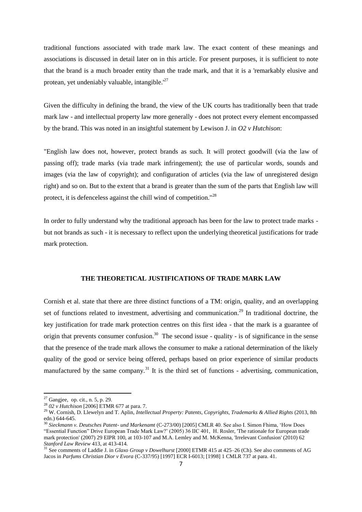traditional functions associated with trade mark law. The exact content of these meanings and associations is discussed in detail later on in this article. For present purposes, it is sufficient to note that the brand is a much broader entity than the trade mark, and that it is a 'remarkably elusive and protean, yet undeniably valuable, intangible. $^{27}$ 

Given the difficulty in defining the brand, the view of the UK courts has traditionally been that trade mark law - and intellectual property law more generally - does not protect every element encompassed by the brand. This was noted in an insightful statement by Lewison J. in *O2 v Hutchison*:

"English law does not, however, protect brands as such. It will protect goodwill (via the law of passing off); trade marks (via trade mark infringement); the use of particular words, sounds and images (via the law of copyright); and configuration of articles (via the law of unregistered design right) and so on. But to the extent that a brand is greater than the sum of the parts that English law will protect, it is defenceless against the chill wind of competition."<sup>28</sup>

In order to fully understand why the traditional approach has been for the law to protect trade marks but not brands as such - it is necessary to reflect upon the underlying theoretical justifications for trade mark protection.

#### **THE THEORETICAL JUSTIFICATIONS OF TRADE MARK LAW**

Cornish et al. state that there are three distinct functions of a TM: origin, quality, and an overlapping set of functions related to investment, advertising and communication.<sup>29</sup> In traditional doctrine, the key justification for trade mark protection centres on this first idea - that the mark is a guarantee of origin that prevents consumer confusion.<sup>30</sup> The second issue - quality - is of significance in the sense that the presence of the trade mark allows the consumer to make a rational determination of the likely quality of the good or service being offered, perhaps based on prior experience of similar products manufactured by the same company.<sup>31</sup> It is the third set of functions - advertising, communication,

 $27$  Gangjee, op. cit., n. 5, p. 29.

<sup>28</sup> *02 v Hutchison* [2006] ETMR 677 at para. 7.

<sup>&</sup>lt;sup>29</sup> W. Cornish, D. Llewelyn and T. Aplin, *Intellectual Property: Patents, Copyrights, Trademarks & Allied Rights* (2013, 8th edn.) 644-645.

<sup>30</sup> *Sieckmann v. Deutsches Patent- und Markenamt* (C-273/00) [2005] CMLR 40. See also I. Simon Fhima, 'How Does "Essential Function" Drive European Trade Mark Law?' (2005) 36 IIC 401, H. Rosler, 'The rationale for European trade mark protection' (2007) 29 EIPR 100, at 103-107 and M.A. Lemley and M. McKenna, 'Irrelevant Confusion' (2010) 62 *Stanford Law Review* 413, at 413-414.

<sup>31</sup> See comments of Laddie J. in *Glaxo Group v Dowelhurst* [2000] ETMR 415 at 425–26 (Ch). See also comments of AG Jacos in *Parfums Christian Dior v Evora* (C-337/95) [1997] ECR I-6013; [1998] 1 CMLR 737 at para. 41.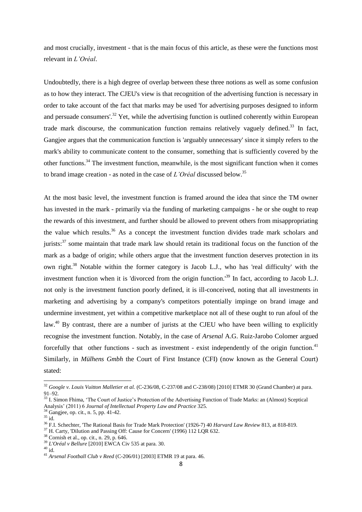and most crucially, investment - that is the main focus of this article, as these were the functions most relevant in *L'Oréal*.

Undoubtedly, there is a high degree of overlap between these three notions as well as some confusion as to how they interact. The CJEU's view is that recognition of the advertising function is necessary in order to take account of the fact that marks may be used 'for advertising purposes designed to inform and persuade consumers'.<sup>32</sup> Yet, while the advertising function is outlined coherently within European trade mark discourse, the communication function remains relatively vaguely defined.<sup>33</sup> In fact, Gangjee argues that the communication function is 'arguably unnecessary' since it simply refers to the mark's ability to communicate content to the consumer, something that is sufficiently covered by the other functions.<sup>34</sup> The investment function, meanwhile, is the most significant function when it comes to brand image creation - as noted in the case of *L'Oréal* discussed below. 35

At the most basic level, the investment function is framed around the idea that since the TM owner has invested in the mark - primarily via the funding of marketing campaigns - he or she ought to reap the rewards of this investment, and further should be allowed to prevent others from misappropriating the value which results.<sup>36</sup> As a concept the investment function divides trade mark scholars and jurists: $37$  some maintain that trade mark law should retain its traditional focus on the function of the mark as a badge of origin; while others argue that the investment function deserves protection in its own right.<sup>38</sup> Notable within the former category is Jacob L.J., who has 'real difficulty' with the investment function when it is 'divorced from the origin function.'<sup>39</sup> In fact, according to Jacob L.J. not only is the investment function poorly defined, it is ill-conceived, noting that all investments in marketing and advertising by a company's competitors potentially impinge on brand image and undermine investment, yet within a competitive marketplace not all of these ought to run afoul of the law.<sup>40</sup> By contrast, there are a number of jurists at the CJEU who have been willing to explicitly recognise the investment function. Notably, in the case of *Arsenal* A.G. Ruiz-Jarobo Colomer argued forcefully that other functions - such as investment - exist independently of the origin function. $41$ Similarly, in *Mülhens Gmbh* the Court of First Instance (CFI) (now known as the General Court) stated:

<sup>32</sup> *Google v. Louis Vuitton Malletier et al.* (C-236/08, C-237/08 and C-238/08) [2010] ETMR 30 (Grand Chamber) at para. 91–92.

 $33$  I. Simon Fhima, 'The Court of Justice's Protection of the Advertising Function of Trade Marks: an (Almost) Sceptical Analysis' (2011) 6 *Journal of Intellectual Property Law and Practice* 325.

 $34$  Gangjee, op. cit., n. 5, pp. 41-42.

 $35 \frac{54}{1}$ 

<sup>36</sup> F.I. Schechter, 'The Rational Basis for Trade Mark Protection' (1926-7) 40 *Harvard Law Review* 813, at 818-819.

<sup>&</sup>lt;sup>37</sup> H. Carty, 'Dilution and Passing Off: Cause for Concern' (1996) 112 LQR 632.

<sup>38</sup> Cornish et al., op. cit., n. 29*,* p. 646.

<sup>39</sup> *L'Oréal v Bellure* [2010] EWCA Civ 535 at para. 30.

 $^{40}$ id.

<sup>41</sup> *Arsenal Football Club v Reed* (C-206/01) [2003] ETMR 19 at para. 46.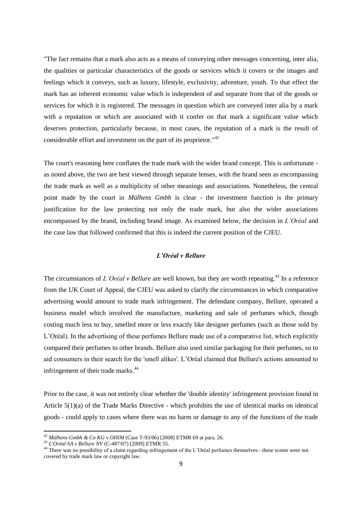"The fact remains that a mark also acts as a means of conveying other messages concerning, inter alia, the qualities or particular characteristics of the goods or services which it covers or the images and feelings which it conveys, such as luxury, lifestyle, exclusivity, adventure, youth. To that effect the mark has an inherent economic value which is independent of and separate from that of the goods or services for which it is registered. The messages in question which are conveyed inter alia by a mark with a reputation or which are associated with it confer on that mark a significant value which deserves protection, particularly because, in most cases, the reputation of a mark is the result of considerable effort and investment on the part of its proprietor."<sup>42</sup>

The court's reasoning here conflates the trade mark with the wider brand concept. This is unfortunate as noted above, the two are best viewed through separate lenses, with the brand seen as encompassing the trade mark as well as a multiplicity of other meanings and associations. Nonetheless, the central point made by the court in *Mülhens Gmbh* is clear - the investment function is the primary justification for the law protecting not only the trade mark, but also the wider associations encompassed by the brand, including brand image. As examined below, the decision in *L'Oréal* and the case law that followed confirmed that this is indeed the current position of the CJEU.

#### *L'Oréal v Bellure*

The circumstances of *L'Oréal v Bellure* are well known, but they are worth repeating.<sup>43</sup> In a reference from the UK Court of Appeal, the CJEU was asked to clarify the circumstances in which comparative advertising would amount to trade mark infringement. The defendant company, Bellure, operated a business model which involved the manufacture, marketing and sale of perfumes which, though costing much less to buy, smelled more or less exactly like designer perfumes (such as those sold by L'Oréal). In the advertising of these perfumes Bellure made use of a comparative list, which explicitly compared their perfumes to other brands. Bellure also used similar packaging for their perfumes, so to aid consumers in their search for the 'smell alikes'. L'Oréal claimed that Bellure's actions amounted to infringement of their trade marks.<sup>44</sup>

Prior to the case, it was not entirely clear whether the 'double identity' infringement provision found in Article 5(1)(a) of the Trade Marks Directive - which prohibits the use of identical marks on identical goods - could apply to cases where there was no harm or damage to any of the functions of the trade

<sup>42</sup> *Mülhens Gmbh & Co KG v OHIM* (Case T-93/06) [2008] ETMR 69 at para. 26.

<sup>43</sup> *L'Oréal SA v Bellure NV* (C-487/07) [2009] ETMR 55.

<sup>44</sup> There was no possibility of a claim regarding infringement of the L'Oréal perfumes themselves - these scents were not covered by trade mark law or copyright law.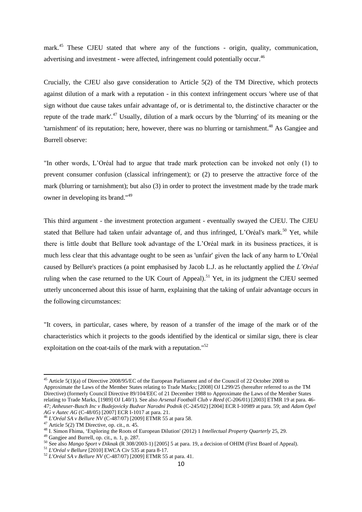mark.<sup>45</sup> These CJEU stated that where any of the functions - origin, quality, communication, advertising and investment - were affected, infringement could potentially occur.<sup>46</sup>

Crucially, the CJEU also gave consideration to Article 5(2) of the TM Directive, which protects against dilution of a mark with a reputation - in this context infringement occurs 'where use of that sign without due cause takes unfair advantage of, or is detrimental to, the distinctive character or the repute of the trade mark'.<sup>47</sup> Usually, dilution of a mark occurs by the 'blurring' of its meaning or the 'tarnishment' of its reputation; here, however, there was no blurring or tarnishment.<sup>48</sup> As Gangjee and Burrell observe:

"In other words, L'Oréal had to argue that trade mark protection can be invoked not only (1) to prevent consumer confusion (classical infringement); or (2) to preserve the attractive force of the mark (blurring or tarnishment); but also (3) in order to protect the investment made by the trade mark owner in developing its brand."<sup>49</sup>

This third argument - the investment protection argument - eventually swayed the CJEU. The CJEU stated that Bellure had taken unfair advantage of, and thus infringed, L'Oréal's mark.<sup>50</sup> Yet, while there is little doubt that Bellure took advantage of the L'Oréal mark in its business practices, it is much less clear that this advantage ought to be seen as 'unfair' given the lack of any harm to L'Oréal caused by Bellure's practices (a point emphasised by Jacob L.J. as he reluctantly applied the *L'Oréal* ruling when the case returned to the UK Court of Appeal).<sup>51</sup> Yet, in its judgment the CJEU seemed utterly unconcerned about this issue of harm, explaining that the taking of unfair advantage occurs in the following circumstances:

"It covers, in particular, cases where, by reason of a transfer of the image of the mark or of the characteristics which it projects to the goods identified by the identical or similar sign, there is clear exploitation on the coat-tails of the mark with a reputation."<sup>52</sup>

1

<sup>&</sup>lt;sup>45</sup> Article 5(1)(a) of Directive 2008/95/EC of the European Parliament and of the Council of 22 October 2008 to Approximate the Laws of the Member States relating to Trade Marks; [2008] OJ L299/25 (hereafter referred to as the TM Directive) (formerly Council Directive 89/104/EEC of 21 December 1988 to Approximate the Laws of the Member States relating to Trade Marks, [1989] OJ L40/1). See also *Arsenal Football Club v Reed* (C-206/01) [2003] ETMR 19 at para. 46- 47; *Anheuser-Busch Inc v Budejovicky Budvar Narodni Podnik* (C-245/02) [2004] ECR I-10989 at para. 59; and *Adam Opel AG v Autec AG* (C-48/05) [2007] ECR I-1017 at para. 21.

<sup>46</sup> *L'Oréal SA v Bellure NV* (C-487/07) [2009] ETMR 55 at para 58.

 $47$  Article 5(2) TM Directive, op. cit., n. 45.

<sup>48</sup> I. Simon Fhima, 'Exploring the Roots of European Dilution' (2012) 1 *Intellectual Property Quarterly* 25, 29.

<sup>&</sup>lt;sup>49</sup> Gangjee and Burrell, op. cit., n. 1, p. 287.

<sup>50</sup> See also *Mango Sport v Diknak* (R 308/2003-1) [2005] 5 at para. 19, a decision of OHIM (First Board of Appeal).

<sup>51</sup> *L'Oréal v Bellure* [2010] EWCA Civ 535 at para 8-17.

<sup>52</sup> *L'Oréal SA v Bellure NV* (C-487/07) [2009] ETMR 55 at para. 41.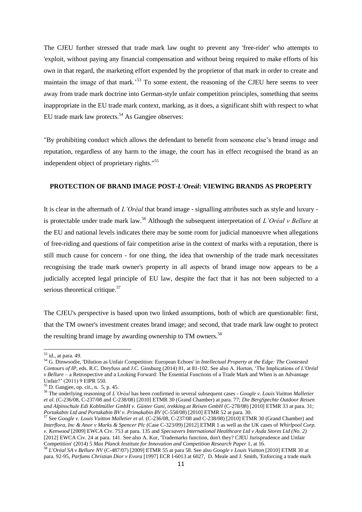The CJEU further stressed that trade mark law ought to prevent any 'free-rider' who attempts to 'exploit, without paying any financial compensation and without being required to make efforts of his own in that regard, the marketing effort expended by the proprietor of that mark in order to create and maintain the image of that mark.'<sup>53</sup> To some extent, the reasoning of the CJEU here seems to veer away from trade mark doctrine into German-style unfair competition principles, something that seems inappropriate in the EU trade mark context, marking, as it does, a significant shift with respect to what EU trade mark law protects.<sup>54</sup> As Gangjee observes:

"By prohibiting conduct which allows the defendant to benefit from someone else's brand image and reputation, regardless of any harm to the image, the court has in effect recognised the brand as an independent object of proprietary rights."<sup>55</sup>

#### **PROTECTION OF BRAND IMAGE POST-***L'Oreál***: VIEWING BRANDS AS PROPERTY**

It is clear in the aftermath of *L'Oréal* that brand image - signalling attributes such as style and luxury is protectable under trade mark law. <sup>56</sup> Although the subsequent interpretation of *L'Oréal v Bellure* at the EU and national levels indicates there may be some room for judicial manoeuvre when allegations of free-riding and questions of fair competition arise in the context of marks with a reputation, there is still much cause for concern - for one thing, the idea that ownership of the trade mark necessitates recognising the trade mark owner's property in all aspects of brand image now appears to be a judicially accepted legal principle of EU law, despite the fact that it has not been subjected to a serious theoretical critique.<sup>57</sup>

The CJEU's perspective is based upon two linked assumptions, both of which are questionable: first, that the TM owner's investment creates brand image; and second, that trade mark law ought to protect the resulting brand image by awarding ownership to TM owners.<sup>58</sup>

<sup>&</sup>lt;sup>53</sup> id., at para. 49.

<sup>54</sup> G. Dinwoodie, 'Dilution as Unfair Competition: European Echoes' in *Intellectual Property at the Edge: The Contested Contours of IP*, eds. R.C. Dreyfuss and J.C. Ginsburg (2014) 81, at 81-102. See also A. Horton, 'The Implications of *L'Oréal v Bellure* – a Retrospective and a Looking Forward: The Essential Functions of a Trade Mark and When is an Advantage Unfair?' (2011) 9 EIPR 550.

<sup>55</sup> D. Gangjee, op. cit., n. 5, p. 45.

<sup>56</sup> The underlying reasoning of *L'Oréal* has been confirmed in several subsequent cases - *Google v. Louis Vuitton Malletier et al.* (C-236/08, C-237/08 and C-238/08) [2010] ETMR 30 (Grand Chamber) at para. 77; *Die BergSpechte Outdoor Reisen und Alpinschule Edi Koblmüller GmbH v. Günter Guni, trekking.at Reisen GmbH* (C-278/08) [2010] ETMR 33 at para. 31; *Portakabin Ltd and Portakabin BV v. Primakabin BV* (C-558/08) [2010] ETMR 52 at para. 30.

<sup>57</sup> See *Google v. Louis Vuitton Malletier et al.* (C-236/08, C-237/08 and C-238/08) [2010] ETMR 30 (Grand Chamber) and *Interflora, Inc & Anor v Marks & Spencer Plc* (Case C-323/09) [2012] ETMR 1 as well as the UK cases of *Whirlpool Corp. v. Kenwood* [2009] EWCA Civ. 753 at para. 135 and *Specsavers International Healthcare Ltd v Asda Stores Ltd (No. 2)*  [2012] EWCA Civ. 24 at para. 141. See also A. Kur, 'Trademarks function, don't they? CJEU Jurisprudence and Unfair Competition' (2014) 5 *Max Planck Institute for Innovation and Competition Research Paper* 1, at 16.

<sup>58</sup> *L'Oréal SA v Bellure NV* (C-487/07) [2009] ETMR 55 at para 58. See also *Google v Louis Vuitton* [2010] ETMR 30 at para. 92-95, *Parfums Christian Dior v Evora* [1997] ECR I-6013 at 6027, D. Meale and J. Smith, 'Enforcing a trade mark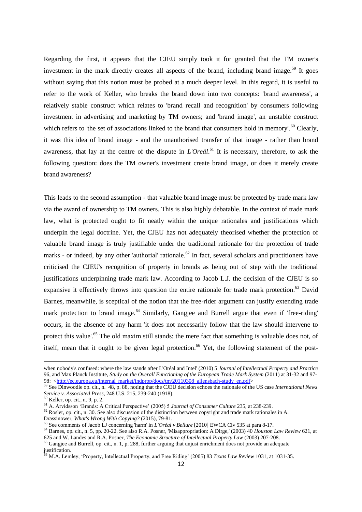Regarding the first, it appears that the CJEU simply took it for granted that the TM owner's investment in the mark directly creates all aspects of the brand, including brand image.<sup>59</sup> It goes without saying that this notion must be probed at a much deeper level. In this regard, it is useful to refer to the work of Keller, who breaks the brand down into two concepts: 'brand awareness', a relatively stable construct which relates to 'brand recall and recognition' by consumers following investment in advertising and marketing by TM owners; and 'brand image', an unstable construct which refers to 'the set of associations linked to the brand that consumers hold in memory'.<sup>60</sup> Clearly, it was this idea of brand image - and the unauthorised transfer of that image - rather than brand awareness, that lay at the centre of the dispute in *L'Oreál*.<sup>61</sup> It is necessary, therefore, to ask the following question: does the TM owner's investment create brand image, or does it merely create brand awareness?

This leads to the second assumption - that valuable brand image must be protected by trade mark law via the award of ownership to TM owners. This is also highly debatable. In the context of trade mark law, what is protected ought to fit neatly within the unique rationales and justifications which underpin the legal doctrine. Yet, the CJEU has not adequately theorised whether the protection of valuable brand image is truly justifiable under the traditional rationale for the protection of trade marks - or indeed, by any other 'authorial' rationale.<sup>62</sup> In fact, several scholars and practitioners have criticised the CJEU's recognition of property in brands as being out of step with the traditional justifications underpinning trade mark law. According to Jacob L.J. the decision of the CJEU is so expansive it effectively throws into question the entire rationale for trade mark protection.<sup>63</sup> David Barnes, meanwhile, is sceptical of the notion that the free-rider argument can justify extending trade mark protection to brand image.<sup>64</sup> Similarly, Gangjee and Burrell argue that even if 'free-riding' occurs, in the absence of any harm 'it does not necessarily follow that the law should intervene to protect this value'.<sup>65</sup> The old maxim still stands: the mere fact that something is valuable does not, of itself, mean that it ought to be given legal protection.<sup>66</sup> Yet, the following statement of the post-

**.** 

 $62$  Rosler, op. cit., n. 30. See also discussion of the distinction between copyright and trade mark rationales in A. Drassinower, *What's Wrong With Copying?* (2015), 79-81.

when nobody's confused: where the law stands after L'Oréal and Intel' (2010) 5 *Journal of Intellectual Property and Practice*  96, and Max Planck Institute, *Study on the Overall Functioning of the European Trade Mark System* (2011) at 31-32 and 97- 98: [<http://ec.europa.eu/internal\\_market/indprop/docs/tm/20110308\\_allensbach-study\\_en.pdf>](http://ec.europa.eu/internal_market/indprop/docs/tm/20110308_allensbach-study_en.pdf)

<sup>59</sup> See Dinwoodie op. cit., n. 48, p. 88, noting that the CJEU decision echoes the rationale of the US case *International News Service v. Associated Press*, 248 U.S. 215, 239-240 (1918).

<sup>60</sup> Keller, op. cit., n. 9, p. 2.

<sup>61</sup> A. Arvidsson 'Brands: A Critical Perspective' (2005) 5 *Journal of Consumer Culture* 235, at 238-239.

<sup>63</sup> See comments of Jacob LJ concerning 'harm' in *L'Oréal v Bellure* [2010] EWCA Civ 535 at para 8-17.

<sup>64</sup> Barnes, op. cit., n. 5, pp. 20-22. See also R.A. Posner, 'Misappropriation: A Dirge,' (2003) 40 *Houston Law Review* 621, at

<sup>625</sup> and W. Landes and R.A. Posner, *The Economic Structure of Intellectual Property Law* (2003) 207-208.  $<sup>65</sup>$  Gangjee and Burrell, op. cit., n. 1, p. 288, further arguing that unjust enrichment does not provide an adequate</sup> justification.

<sup>66</sup> M.A. Lemley, 'Property, Intellectual Property, and Free Riding' (2005) 83 *Texas Law Review* 1031, at 1031-35.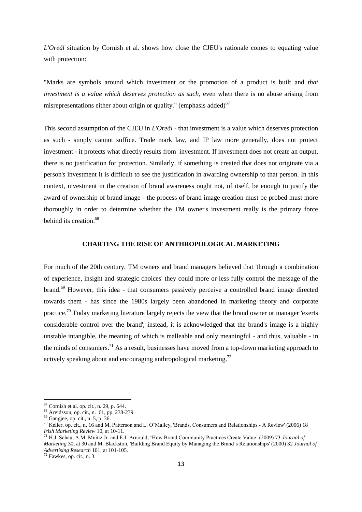*L'Oreál* situation by Cornish et al. shows how close the CJEU's rationale comes to equating value with protection:

"Marks are symbols around which investment or the promotion of a product is built and *that investment is a value which deserves protection as such*, even when there is no abuse arising from misrepresentations either about origin or quality." (emphasis added) $67$ 

This second assumption of the CJEU in *L'Oreál* - that investment is a value which deserves protection as such - simply cannot suffice. Trade mark law, and IP law more generally, does not protect investment - it protects what directly results from investment. If investment does not create an output, there is no justification for protection. Similarly, if something is created that does not originate via a person's investment it is difficult to see the justification in awarding ownership to that person. In this context, investment in the creation of brand awareness ought not, of itself, be enough to justify the award of ownership of brand image - the process of brand image creation must be probed must more thoroughly in order to determine whether the TM owner's investment really is the primary force behind its creation. 68

#### **CHARTING THE RISE OF ANTHROPOLOGICAL MARKETING**

For much of the 20th century, TM owners and brand managers believed that 'through a combination of experience, insight and strategic choices' they could more or less fully control the message of the brand.<sup>69</sup> However, this idea - that consumers passively perceive a controlled brand image directed towards them - has since the 1980s largely been abandoned in marketing theory and corporate practice.<sup>70</sup> Today marketing literature largely rejects the view that the brand owner or manager 'exerts considerable control over the brand'; instead, it is acknowledged that the brand's image is a highly unstable intangible, the meaning of which is malleable and only meaningful - and thus, valuable - in the minds of consumers.<sup>71</sup> As a result, businesses have moved from a top-down marketing approach to actively speaking about and encouraging anthropological marketing.<sup>72</sup>

 $72$  Fawkes, op. cit., n. 3.

 $67$  Cornish et al. op. cit., n. 29, p. 644.

<sup>68</sup> Arvidsson, op. cit., n. 61, pp. 238-239.

 $69$  Gangjee, op. cit., n. 5, p. 36.

<sup>70</sup> Keller, op. cit., n. 16 and M. Patterson and L. O'Malley, 'Brands, Consumers and Relationships - A Review' (2006) 18 *Irish Marketing Review* 10, at 10-11.

<sup>71</sup> H.J. Schau, A.M. Muñiz Jr. and E.J. Arnould, 'How Brand Community Practices Create Value' (2009) 73 *Journal of Marketing* 30, at 30 and M. Blackston, 'Building Brand Equity by Managing the Brand's Relationships' (2000) 32 *Journal of Advertising Research* 101, at 101-105.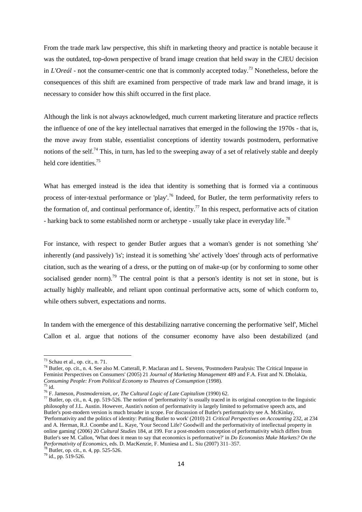From the trade mark law perspective, this shift in marketing theory and practice is notable because it was the outdated, top-down perspective of brand image creation that held sway in the CJEU decision in *L'Oreál* - not the consumer-centric one that is commonly accepted today*. <sup>73</sup>* Nonetheless, before the consequences of this shift are examined from perspective of trade mark law and brand image, it is necessary to consider how this shift occurred in the first place.

Although the link is not always acknowledged, much current marketing literature and practice reflects the influence of one of the key intellectual narratives that emerged in the following the 1970s - that is, the move away from stable, essentialist conceptions of identity towards postmodern, performative notions of the self.<sup>74</sup> This, in turn, has led to the sweeping away of a set of relatively stable and deeply held core identities.<sup>75</sup>

What has emerged instead is the idea that identity is something that is formed via a continuous process of inter-textual performance or 'play'.<sup>76</sup> Indeed, for Butler, the term performativity refers to the formation of, and continual performance of, identity.<sup>77</sup> In this respect, performative acts of citation - harking back to some established norm or archetype - usually take place in everyday life.<sup>78</sup>

For instance, with respect to gender Butler argues that a woman's gender is not something 'she' inherently (and passively) 'is'; instead it is something 'she' actively 'does' through acts of performative citation, such as the wearing of a dress, or the putting on of make-up (or by conforming to some other socialised gender norm).<sup>79</sup> The central point is that a person's identity is not set in stone, but is actually highly malleable, and reliant upon continual performative acts, some of which conform to, while others subvert, expectations and norms.

In tandem with the emergence of this destabilizing narrative concerning the performative 'self', Michel Callon et al. argue that notions of the consumer economy have also been destabilized (and

 $\overline{\phantom{a}}$ 

 $^{73}$  Schau et al., op. cit., n. 71.

<sup>74</sup> Butler, op. cit., n. 4. See also M. Catterall, P. Maclaran and L. Stevens, 'Postmodern Paralysis: The Critical Impasse in Feminist Perspectives on Consumers' (2005) 21 *Journal of Marketing Management* 489 and F.A. Firat and N. Dholakia, *Consuming People: From Political Economy to Theatres of Consumption* (1998).  $^{75}$  id.

<sup>76</sup> F. Jameson, *Postmodernism, or, The Cultural Logic of Late Capitalism* (1990) 62.

<sup>&</sup>lt;sup>77</sup> Butler, op. cit., n. 4, pp. 519-526. The notion of 'performativity' is usually traced in its original conception to the linguistic philosophy of J.L. Austin. However, Austin's notion of performativity is largely limited to peformative speech acts, and Butler's post-modern version is much broader in scope. For discussion of Butler's performativity see A. McKinlay, 'Performativity and the politics of identity: Putting Butler to work' (2010) 21 *Critical Perspectives on Accounting* 232, at 234 and A. Herman, R.J. Coombe and L. Kaye, 'Your Second Life? Goodwill and the performativity of intellectual property in online gaming' (2006) 20 *Cultural Studies* 184, at 199. For a post-modern conception of performativity which differs from Butler's see M. Callon, 'What does it mean to say that economics is performative?' in *Do Economists Make Markets? On the Performativity of Economics,* eds. D. MacKenzie, F. Muniesa and L. Siu (2007) 311–357.

<sup>78</sup> Butler, op. cit., n. 4, pp. 525-526.

 $79$  id., pp. 519-526.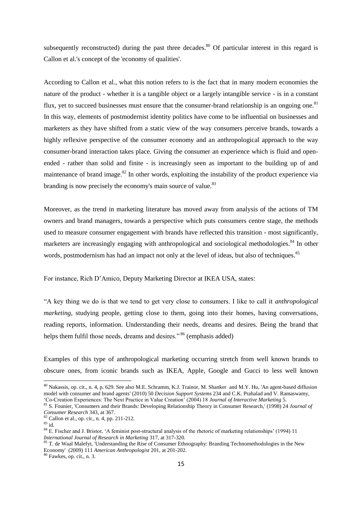subsequently reconstructed) during the past three decades.<sup>80</sup> Of particular interest in this regard is Callon et al.'s concept of the 'economy of qualities'.

According to Callon et al., what this notion refers to is the fact that in many modern economies the nature of the product - whether it is a tangible object or a largely intangible service - is in a constant flux, yet to succeed businesses must ensure that the consumer-brand relationship is an ongoing one.<sup>81</sup> In this way, elements of postmodernist identity politics have come to be influential on businesses and marketers as they have shifted from a static view of the way consumers perceive brands, towards a highly reflexive perspective of the consumer economy and an anthropological approach to the way consumer-brand interaction takes place. Giving the consumer an experience which is fluid and openended - rather than solid and finite - is increasingly seen as important to the building up of and maintenance of brand image. $82$  In other words, exploiting the instability of the product experience via branding is now precisely the economy's main source of value.<sup>83</sup>

Moreover, as the trend in marketing literature has moved away from analysis of the actions of TM owners and brand managers, towards a perspective which puts consumers centre stage, the methods used to measure consumer engagement with brands have reflected this transition - most significantly, marketers are increasingly engaging with anthropological and sociological methodologies.<sup>84</sup> In other words, postmodernism has had an impact not only at the level of ideas, but also of techniques.<sup>85</sup>

For instance, Rich D'Amico, Deputy Marketing Director at IKEA USA, states:

"A key thing we do is that we tend to get very close to consumers. I like to call it *anthropological marketing*, studying people, getting close to them, going into their homes, having conversations, reading reports, information. Understanding their needs, dreams and desires. Being the brand that helps them fulfil those needs, dreams and desires."<sup>86</sup> (emphasis added)

Examples of this type of anthropological marketing occurring stretch from well known brands to obscure ones, from iconic brands such as IKEA, Apple, Google and Gucci to less well known

<sup>80</sup> Nakassis, op. cit., n. 4, p. 629. See also M.E. Schramm, K.J. Trainor, M. Shanker and M.Y. Hu, 'An agent-based diffusion model with consumer and brand agents' (2010) 50 *Decision Support Systems* 234 and C.K. Prahalad and V. Ramaswamy, 'Co-Creation Experiences: The Next Practice in Value Creation' (2004) 18 *Journal of Interactive Marketing* 5.

<sup>81</sup> S. Founier, 'Consumers and their Brands: Developing Relationship Theory in Consumer Research,' (1998) 24 *Journal of Consumer Research* 343, at 367.

 $82$  Callon et al., op. cit., n. 4, pp. 211-212.

 $83 \overline{\text{id}}$ .

<sup>&</sup>lt;sup>84</sup> E. Fischer and J. Bristor, 'A feminist post-structural analysis of the rhetoric of marketing relationships' (1994) 11 *International Journal of Research in Marketing* 317, at 317-320.

 $85$  T. de Waal Malefyt, 'Understanding the Rise of Consumer Ethnography: Branding Technomethodologies in the New Economy' (2009) 111 *American Anthropologist* 201, at 201-202.

<sup>86</sup> Fawkes, op. cit., n. 3.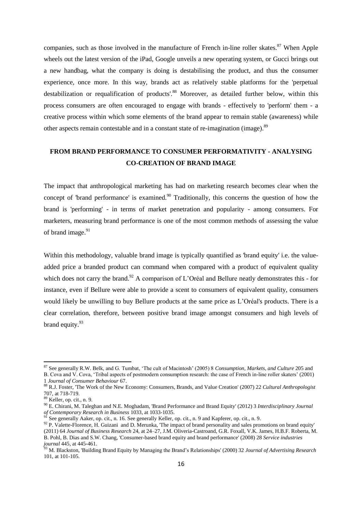companies, such as those involved in the manufacture of French in-line roller skates. $87$  When Apple wheels out the latest version of the iPad, Google unveils a new operating system, or Gucci brings out a new handbag, what the company is doing is destabilising the product, and thus the consumer experience, once more. In this way, brands act as relatively stable platforms for the 'perpetual destabilization or requalification of products'.<sup>88</sup> Moreover, as detailed further below, within this process consumers are often encouraged to engage with brands - effectively to 'perform' them - a creative process within which some elements of the brand appear to remain stable (awareness) while other aspects remain contestable and in a constant state of re-imagination (image).<sup>89</sup>

## **FROM BRAND PERFORMANCE TO CONSUMER PERFORMATIVITY - ANALYSING CO-CREATION OF BRAND IMAGE**

The impact that anthropological marketing has had on marketing research becomes clear when the concept of 'brand performance' is examined.<sup>90</sup> Traditionally, this concerns the question of how the brand is 'performing' - in terms of market penetration and popularity - among consumers. For marketers, measuring brand performance is one of the most common methods of assessing the value of brand image.<sup>91</sup>

Within this methodology, valuable brand image is typically quantified as 'brand equity' i.e. the valueadded price a branded product can command when compared with a product of equivalent quality which does not carry the brand.<sup>92</sup> A comparison of L'Oréal and Bellure neatly demonstrates this - for instance, even if Bellure were able to provide a scent to consumers of equivalent quality, consumers would likely be unwilling to buy Bellure products at the same price as L'Oréal's products. There is a clear correlation, therefore, between positive brand image amongst consumers and high levels of brand equity.<sup>93</sup>

<sup>87</sup> See generally R.W. Belk, and G. Tumbat, 'The cult of Macintosh' (2005) 8 *Consumption, Markets, and Culture* 205 and B. Cova and V. Cova, 'Tribal aspects of postmodern consumption research: the case of French in-line roller skaters' (2001) 1 *Journal of Consumer Behaviour* 67.

<sup>88</sup> R.J. Foster, 'The Work of the New Economy: Consumers, Brands, and Value Creation' (2007) 22 *Cultural Anthropologist* 707, at 718-719.

<sup>&</sup>lt;sup>89</sup> Keller, op. cit., n. 9.

<sup>90</sup> E. Chirani, M. Taleghan and N.E. Moghadam, 'Brand Performance and Brand Equity' (2012) 3 *Interdisciplinary Journal of Contemporary Research in Business* 1033, at 1033-1035.

 $91$  See generally Aaker, op. cit., n. 16. See generally Keller, op. cit., n. 9 and Kapferer, op. cit., n. 9.

<sup>&</sup>lt;sup>92</sup> P. Valette-Florence, H. Guizani and D. Merunka, 'The impact of brand personality and sales promotions on brand equity' (2011) 64 *Journal of Business Research* 24, at 24–27, J.M. Oliveria-Castroand, G.R. Foxall, V.K. James, H.B.F. Roberta, M. B. Pohl, B. Dias and S.W. Chang, 'Consumer-based brand equity and brand performance' (2008) 28 *Service industries journal* 445, at 445-461.

<sup>93</sup> M. Blackston, 'Building Brand Equity by Managing the Brand's Relationships' (2000) 32 *Journal of Advertising Research* 101, at 101-105.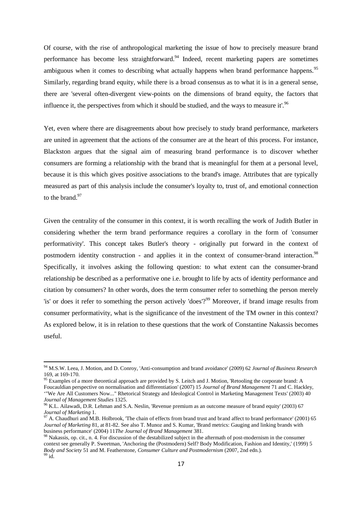Of course, with the rise of anthropological marketing the issue of how to precisely measure brand performance has become less straightforward.<sup>94</sup> Indeed, recent marketing papers are sometimes ambiguous when it comes to describing what actually happens when brand performance happens.<sup>95</sup> Similarly, regarding brand equity, while there is a broad consensus as to what it is in a general sense, there are 'several often-divergent view-points on the dimensions of brand equity, the factors that influence it, the perspectives from which it should be studied, and the ways to measure it.<sup>96</sup>

Yet, even where there are disagreements about how precisely to study brand performance, marketers are united in agreement that the actions of the consumer are at the heart of this process. For instance, Blackston argues that the signal aim of measuring brand performance is to discover whether consumers are forming a relationship with the brand that is meaningful for them at a personal level, because it is this which gives positive associations to the brand's image. Attributes that are typically measured as part of this analysis include the consumer's loyalty to, trust of, and emotional connection to the brand  $97$ 

Given the centrality of the consumer in this context, it is worth recalling the work of Judith Butler in considering whether the term brand performance requires a corollary in the form of 'consumer performativity'. This concept takes Butler's theory - originally put forward in the context of postmodern identity construction - and applies it in the context of consumer-brand interaction.<sup>98</sup> Specifically, it involves asking the following question: to what extent can the consumer-brand relationship be described as a performative one i.e. brought to life by acts of identity performance and citation by consumers? In other words, does the term consumer refer to something the person merely 'is' or does it refer to something the person actively 'does'?<sup>99</sup> Moreover, if brand image results from consumer performativity, what is the significance of the investment of the TM owner in this context? As explored below, it is in relation to these questions that the work of Constantine Nakassis becomes useful.

<sup>94</sup> M.S.W. Leea, J. Motion, and D. Conroy, 'Anti-consumption and brand avoidance' (2009) 62 *Journal of Business Research* 169, at 169-170.

<sup>&</sup>lt;sup>95</sup> Examples of a more theoretical approach are provided by S. Leitch and J. Motion, 'Retooling the corporate brand: A Foucauldian perspective on normalisation and differentiation' (2007) 15 *Journal of Brand Management* 71 and C. Hackley, '"We Are All Customers Now..." Rhetorical Strategy and Ideological Control in Marketing Management Texts' (2003) 40 *Journal of Management Studies* 1325.

<sup>&</sup>lt;sup>96</sup> K.L. Ailawadi, D.R. Lehman and S.A. Neslin, 'Revenue premium as an outcome measure of brand equity' (2003) 67 *Journal of Marketing* 1.

 $97$  A. Chaudhuri and M.B. Holbrook, 'The chain of effects from brand trust and brand affect to brand performance' (2001) 65 *Journal of Marketing* 81, at 81-82. See also T. Munoz and S. Kumar, 'Brand metrics: Gauging and linking brands with business performance' (2004) 11*The Journal of Brand Management* 381.

 $^{88}$  Nakassis, op. cit., n. 4. For discussion of the destabilized subject in the aftermath of post-modernism in the consumer context see generally P. Sweetman, 'Anchoring the (Postmodern) Self? Body Modification, Fashion and Identity,' (1999) 5 *Body and Society* 51 and M. Featherstone, *Consumer Culture and Postmodernism* (2007, 2nd edn.).  $99$  id.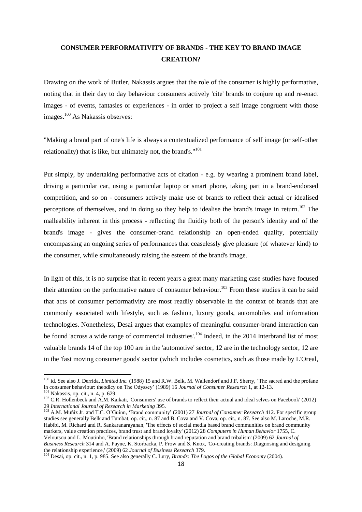## **CONSUMER PERFORMATIVITY OF BRANDS - THE KEY TO BRAND IMAGE CREATION?**

Drawing on the work of Butler, Nakassis argues that the role of the consumer is highly performative, noting that in their day to day behaviour consumers actively 'cite' brands to conjure up and re-enact images - of events, fantasies or experiences - in order to project a self image congruent with those images.<sup>100</sup> As Nakassis observes:

"Making a brand part of one's life is always a contextualized performance of self image (or self-other relationality) that is like, but ultimately not, the brand's."<sup>101</sup>

Put simply, by undertaking performative acts of citation - e.g. by wearing a prominent brand label, driving a particular car, using a particular laptop or smart phone, taking part in a brand-endorsed competition, and so on - consumers actively make use of brands to reflect their actual or idealised perceptions of themselves, and in doing so they help to idealise the brand's image in return.<sup>102</sup> The malleability inherent in this process - reflecting the fluidity both of the person's identity and of the brand's image - gives the consumer-brand relationship an open-ended quality, potentially encompassing an ongoing series of performances that ceaselessly give pleasure (of whatever kind) to the consumer, while simultaneously raising the esteem of the brand's image.

In light of this, it is no surprise that in recent years a great many marketing case studies have focused their attention on the performative nature of consumer behaviour.<sup>103</sup> From these studies it can be said that acts of consumer performativity are most readily observable in the context of brands that are commonly associated with lifestyle, such as fashion, luxury goods, automobiles and information technologies. Nonetheless, Desai argues that examples of meaningful consumer-brand interaction can be found 'across a wide range of commercial industries'.<sup>104</sup> Indeed, in the 2014 Interbrand list of most valuable brands 14 of the top 100 are in the 'automotive' sector, 12 are in the technology sector, 12 are in the 'fast moving consumer goods' sector (which includes cosmetics, such as those made by L'Oreal,

1

<sup>&</sup>lt;sup>100</sup> id. See also J. Derrida, *Limited Inc.* (1988) 15 and R.W. Belk, M. Wallendorf and J.F. Sherry, 'The sacred and the profane in consumer behaviour: theodicy on The Odyssey' (1989) 16 *Journal of Consumer Research* 1, at 12-13.

 $101$  Nakassis, op. cit., n. 4, p. 629.

<sup>102</sup> C.R. Hollenbeck and A.M. Kaikati, 'Consumers' use of brands to reflect their actual and ideal selves on Facebook' (2012) 29 *International Journal of Research in Marketing* 395.

<sup>103</sup> A.M. Muñiz Jr. and T.C. O'Guinn, 'Brand community' (2001) 27 *Journal of Consumer Research* 412. For specific group studies see generally Belk and Tumbat, op. cit., n. 87 and B. Cova and V. Cova, op. cit., n. 87. See also M. Laroche, M.R. Habibi, M. Richard and R. Sankaranarayanan, 'The effects of social media based brand communities on brand community markers, value creation practices, brand trust and brand loyalty' (2012) 28 *Computers in Human Behavior* 1755, C. Veloutsou and L. Moutinho, 'Brand relationships through brand reputation and brand tribalism' (2009) 62 *Journal of Business Research* 314 and A. Payne, K. Storbacka, P. Frow and S. Knox, 'Co-creating brands: Diagnosing and designing the relationship experience,' (2009) 62 *Journal of Business Research* 379.

<sup>104</sup> Desai, op. cit., n. 1, p. 985. See also generally C. Lury, *Brands: The Logos of the Global Economy* (2004).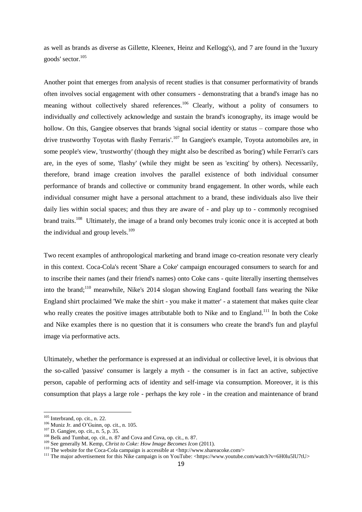as well as brands as diverse as Gillette, Kleenex, Heinz and Kellogg's), and 7 are found in the 'luxury goods' sector.<sup>105</sup>

Another point that emerges from analysis of recent studies is that consumer performativity of brands often involves social engagement with other consumers - demonstrating that a brand's image has no meaning without collectively shared references.<sup>106</sup> Clearly, without a polity of consumers to individually *and* collectively acknowledge and sustain the brand's iconography, its image would be hollow. On this, Gangjee observes that brands 'signal social identity or status – compare those who drive trustworthy Toyotas with flashy Ferraris'.<sup>107</sup> In Gangjee's example, Toyota automobiles are, in some people's view, 'trustworthy' (though they might also be described as 'boring') while Ferrari's cars are, in the eyes of some, 'flashy' (while they might be seen as 'exciting' by others). Necessarily, therefore, brand image creation involves the parallel existence of both individual consumer performance of brands and collective or community brand engagement. In other words, while each individual consumer might have a personal attachment to a brand, these individuals also live their daily lies within social spaces; and thus they are aware of - and play up to - commonly recognised brand traits.<sup>108</sup> Ultimately, the image of a brand only becomes truly iconic once it is accepted at both the individual and group levels. $109$ 

Two recent examples of anthropological marketing and brand image co-creation resonate very clearly in this context. Coca-Cola's recent 'Share a Coke' campaign encouraged consumers to search for and to inscribe their names (and their friend's names) onto Coke cans - quite literally inserting themselves into the brand;<sup>110</sup> meanwhile, Nike's 2014 slogan showing England football fans wearing the Nike England shirt proclaimed 'We make the shirt - you make it matter' - a statement that makes quite clear who really creates the positive images attributable both to Nike and to England.<sup>111</sup> In both the Coke and Nike examples there is no question that it is consumers who create the brand's fun and playful image via performative acts.

Ultimately, whether the performance is expressed at an individual or collective level, it is obvious that the so-called 'passive' consumer is largely a myth - the consumer is in fact an active, subjective person, capable of performing acts of identity and self-image via consumption. Moreover, it is this consumption that plays a large role - perhaps the key role - in the creation and maintenance of brand

 $105$  Interbrand, op. cit., n. 22.

<sup>106</sup> Muniz Jr. and O'Guinn, op. cit., n. 105.

<sup>107</sup> D. Gangjee, op. cit., n. 5, p. 35.

 $108$  Belk and Tumbat, op. cit., n. 87 and Cova and Cova, op. cit., n. 87.

<sup>109</sup> See generally M. Kemp, *Christ to Coke: How Image Becomes Icon* (2011).

<sup>&</sup>lt;sup>110</sup> The website for the Coca-Cola campaign is accessible at <http://www.shareacoke.com/>

<sup>&</sup>lt;sup>111</sup> The major advertisement for this Nike campaign is on YouTube: <https://www.youtube.com/watch?v=6H0lu5lU7tU>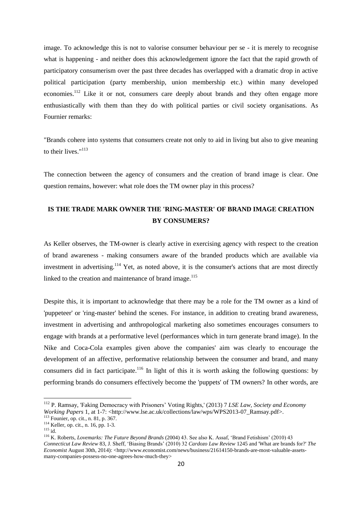image. To acknowledge this is not to valorise consumer behaviour per se - it is merely to recognise what is happening - and neither does this acknowledgement ignore the fact that the rapid growth of participatory consumerism over the past three decades has overlapped with a dramatic drop in active political participation (party membership, union membership etc.) within many developed economies.<sup>112</sup> Like it or not, consumers care deeply about brands and they often engage more enthusiastically with them than they do with political parties or civil society organisations. As Fournier remarks:

"Brands cohere into systems that consumers create not only to aid in living but also to give meaning to their lives."<sup>113</sup>

The connection between the agency of consumers and the creation of brand image is clear. One question remains, however: what role does the TM owner play in this process?

## **IS THE TRADE MARK OWNER THE 'RING-MASTER' OF BRAND IMAGE CREATION BY CONSUMERS?**

As Keller observes, the TM-owner is clearly active in exercising agency with respect to the creation of brand awareness - making consumers aware of the branded products which are available via investment in advertising.<sup>114</sup> Yet, as noted above, it is the consumer's actions that are most directly linked to the creation and maintenance of brand image.<sup>115</sup>

Despite this, it is important to acknowledge that there may be a role for the TM owner as a kind of 'puppeteer' or 'ring-master' behind the scenes. For instance, in addition to creating brand awareness, investment in advertising and anthropological marketing also sometimes encourages consumers to engage with brands at a performative level (performances which in turn generate brand image). In the Nike and Coca-Cola examples given above the companies' aim was clearly to encourage the development of an affective, performative relationship between the consumer and brand, and many consumers did in fact participate.<sup>116</sup> In light of this it is worth asking the following questions: by performing brands do consumers effectively become the 'puppets' of TM owners? In other words, are

<sup>112</sup> P. Ramsay, 'Faking Democracy with Prisoners' Voting Rights,' (2013) 7 *LSE Law, Society and Economy Working Papers* 1, at 1-7: <http://www.lse.ac.uk/collections/law/wps/WPS2013-07\_Ramsay.pdf>.

<sup>113</sup> Founier, op. cit., n. 81, p. 367.

<sup>114</sup> Keller*,* op. cit., n. 16, pp. 1-3.

<sup>115</sup> id.

<sup>116</sup> K. Roberts, *Lovemarks: The Future Beyond Brands* (2004) 43. See also K. Assaf, 'Brand Fetishism' (2010) 43 *Connecticut Law Review* 83, J. Sheff, 'Biasing Brands' (2010) 32 *Cardozo Law Review* 1245 and 'What are brands for?' *The Economist* August 30th, 2014): <http://www.economist.com/news/business/21614150-brands-are-most-valuable-assetsmany-companies-possess-no-one-agrees-how-much-they>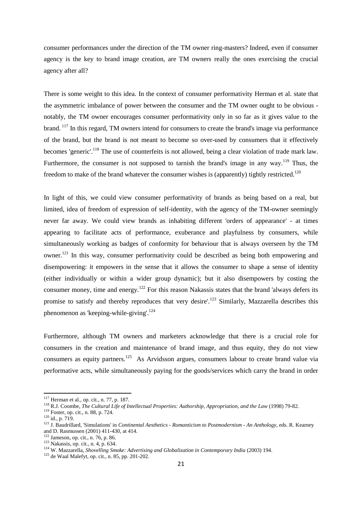consumer performances under the direction of the TM owner ring-masters? Indeed, even if consumer agency is the key to brand image creation, are TM owners really the ones exercising the crucial agency after all?

There is some weight to this idea. In the context of consumer performativity Herman et al. state that the asymmetric imbalance of power between the consumer and the TM owner ought to be obvious notably, the TM owner encourages consumer performativity only in so far as it gives value to the brand.<sup>117</sup> In this regard, TM owners intend for consumers to create the brand's image via performance of the brand, but the brand is not meant to become so over-used by consumers that it effectively becomes 'generic'.<sup>118</sup> The use of counterfeits is not allowed, being a clear violation of trade mark law. Furthermore, the consumer is not supposed to tarnish the brand's image in any way.<sup>119</sup> Thus, the freedom to make of the brand whatever the consumer wishes is (apparently) tightly restricted.<sup>120</sup>

In light of this, we could view consumer performativity of brands as being based on a real, but limited, idea of freedom of expression of self-identity, with the agency of the TM-owner seemingly never far away. We could view brands as inhabiting different 'orders of appearance' - at times appearing to facilitate acts of performance, exuberance and playfulness by consumers, while simultaneously working as badges of conformity for behaviour that is always overseen by the TM owner.<sup>121</sup> In this way, consumer performativity could be described as being both empowering and disempowering: it empowers in the sense that it allows the consumer to shape a sense of identity (either individually or within a wider group dynamic); but it also disempowers by costing the consumer money, time and energy.<sup>122</sup> For this reason Nakassis states that the brand 'always defers its promise to satisfy and thereby reproduces that very desire'.<sup>123</sup> Similarly, Mazzarella describes this phenomenon as 'keeping-while-giving'.<sup>124</sup>

Furthermore, although TM owners and marketers acknowledge that there is a crucial role for consumers in the creation and maintenance of brand image, and thus equity, they do not view consumers as equity partners.<sup>125</sup> As Arvidsson argues, consumers labour to create brand value via performative acts, while simultaneously paying for the goods/services which carry the brand in order

 $117$  Herman et al., op. cit., n. 77, p. 187.

<sup>118</sup> R.J. Coombe, *The Cultural Life of Intellectual Properties: Authorship, Appropriation, and the Law* (1998) 79-82.

<sup>119</sup> Foster, op. cit., n. 88, p. 724.

<sup>120</sup> id., p. 719.

<sup>121</sup> J. Baudrillard, 'Simulations' in *Continental Aesthetics - Romanticism to Postmodernism - An Anthology*, eds. R. Kearney and D. Rasmussen (2001) 411-430, at 414.

Jameson, op. cit., n. 76, p. 86.

<sup>&</sup>lt;sup>123</sup> Nakassis, op. cit., n. 4, p. 634.

<sup>124</sup> W. Mazzarella, *Shovelling Smoke: Advertising and Globalization in Contemporary India* (2003) 194.

 $125$  de Waal Malefyt, op. cit., n. 85, pp. 201-202.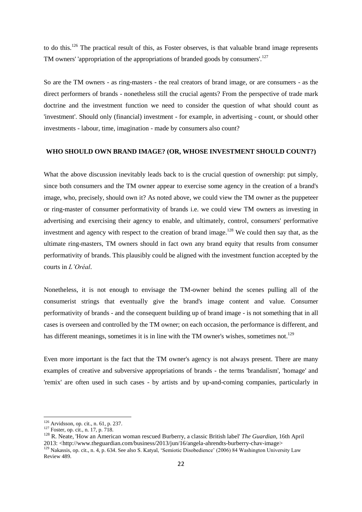to do this.<sup>126</sup> The practical result of this, as Foster observes, is that valuable brand image represents TM owners' 'appropriation of the appropriations of branded goods by consumers'.<sup>127</sup>

So are the TM owners - as ring-masters - the real creators of brand image, or are consumers - as the direct performers of brands - nonetheless still the crucial agents? From the perspective of trade mark doctrine and the investment function we need to consider the question of what should count as 'investment'. Should only (financial) investment - for example, in advertising - count, or should other investments - labour, time, imagination - made by consumers also count?

#### **WHO SHOULD OWN BRAND IMAGE? (OR, WHOSE INVESTMENT SHOULD COUNT?)**

What the above discussion inevitably leads back to is the crucial question of ownership: put simply, since both consumers and the TM owner appear to exercise some agency in the creation of a brand's image, who, precisely, should own it? As noted above, we could view the TM owner as the puppeteer or ring-master of consumer performativity of brands i.e. we could view TM owners as investing in advertising and exercising their agency to enable, and ultimately, control, consumers' performative investment and agency with respect to the creation of brand image.<sup>128</sup> We could then say that, as the ultimate ring-masters, TM owners should in fact own any brand equity that results from consumer performativity of brands. This plausibly could be aligned with the investment function accepted by the courts in *L'Oréal*.

Nonetheless, it is not enough to envisage the TM-owner behind the scenes pulling all of the consumerist strings that eventually give the brand's image content and value. Consumer performativity of brands - and the consequent building up of brand image - is not something that in all cases is overseen and controlled by the TM owner; on each occasion, the performance is different, and has different meanings, sometimes it is in line with the TM owner's wishes, sometimes not.<sup>129</sup>

Even more important is the fact that the TM owner's agency is not always present. There are many examples of creative and subversive appropriations of brands - the terms 'brandalism', 'homage' and 'remix' are often used in such cases - by artists and by up-and-coming companies, particularly in

1

 $126$  Arvidsson, op. cit., n. 61, p. 237.

<sup>&</sup>lt;sup>127</sup> Foster, op. cit., n. 17, p. 718.

<sup>128</sup> R. Neate, 'How an American woman rescued Burberry, a classic British label' *The Guardian*, 16th April 2013: <http://www.theguardian.com/business/2013/jun/16/angela-ahrendts-burberry-chav-image> <sup>129</sup> Nakassis, op. cit., n. 4, p. 634. See also S. Katyal, 'Semiotic Disobedience' (2006) 84 Washington University Law Review 489.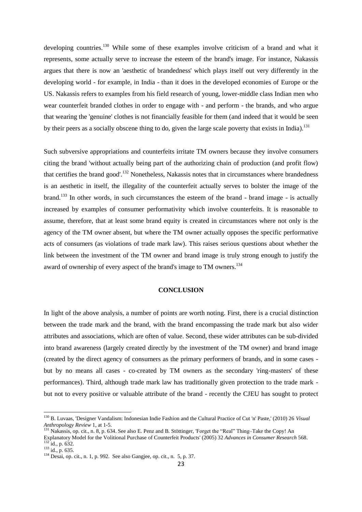developing countries.<sup>130</sup> While some of these examples involve criticism of a brand and what it represents, some actually serve to increase the esteem of the brand's image. For instance, Nakassis argues that there is now an 'aesthetic of brandedness' which plays itself out very differently in the developing world - for example, in India - than it does in the developed economies of Europe or the US. Nakassis refers to examples from his field research of young, lower-middle class Indian men who wear counterfeit branded clothes in order to engage with - and perform - the brands, and who argue that wearing the 'genuine' clothes is not financially feasible for them (and indeed that it would be seen by their peers as a socially obscene thing to do, given the large scale poverty that exists in India).<sup>131</sup>

Such subversive appropriations and counterfeits irritate TM owners because they involve consumers citing the brand 'without actually being part of the authorizing chain of production (and profit flow) that certifies the brand good'.<sup>132</sup> Nonetheless, Nakassis notes that in circumstances where brandedness is an aesthetic in itself, the illegality of the counterfeit actually serves to bolster the image of the brand.<sup>133</sup> In other words, in such circumstances the esteem of the brand - brand image - is actually increased by examples of consumer performativity which involve counterfeits. It is reasonable to assume, therefore, that at least some brand equity is created in circumstances where not only is the agency of the TM owner absent, but where the TM owner actually opposes the specific performative acts of consumers (as violations of trade mark law). This raises serious questions about whether the link between the investment of the TM owner and brand image is truly strong enough to justify the award of ownership of every aspect of the brand's image to TM owners.<sup>134</sup>

#### **CONCLUSION**

In light of the above analysis, a number of points are worth noting. First, there is a crucial distinction between the trade mark and the brand, with the brand encompassing the trade mark but also wider attributes and associations, which are often of value. Second, these wider attributes can be sub-divided into brand awareness (largely created directly by the investment of the TM owner) and brand image (created by the direct agency of consumers as the primary performers of brands, and in some cases but by no means all cases - co-created by TM owners as the secondary 'ring-masters' of these performances). Third, although trade mark law has traditionally given protection to the trade mark but not to every positive or valuable attribute of the brand - recently the CJEU has sought to protect

<sup>130</sup> B. Luvaas, 'Designer Vandalism: Indonesian Indie Fashion and the Cultural Practice of Cut 'n' Paste,' (2010) 26 *Visual Anthropology Review* 1, at 1-5.

<sup>131</sup> Nakassis, op. cit., n. 8, p. 634. See also E. Penz and B. Stöttinger, 'Forget the "Real" Thing–Take the Copy! An Explanatory Model for the Volitional Purchase of Counterfeit Products' (2005) 32 *Advances in Consumer Research* 568.

 $id., p. 632.$ 

 $133$  id., p. 635.

<sup>134</sup> Desai, op. cit., n. 1, p. 992. See also Gangjee, op. cit., n. 5, p. 37.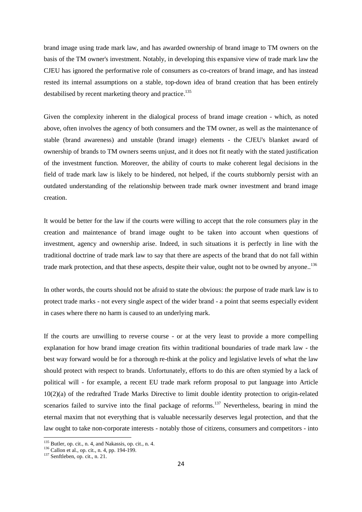brand image using trade mark law, and has awarded ownership of brand image to TM owners on the basis of the TM owner's investment. Notably, in developing this expansive view of trade mark law the CJEU has ignored the performative role of consumers as co-creators of brand image, and has instead rested its internal assumptions on a stable, top-down idea of brand creation that has been entirely destabilised by recent marketing theory and practice.<sup>135</sup>

Given the complexity inherent in the dialogical process of brand image creation - which, as noted above, often involves the agency of both consumers and the TM owner, as well as the maintenance of stable (brand awareness) and unstable (brand image) elements - the CJEU's blanket award of ownership of brands to TM owners seems unjust, and it does not fit neatly with the stated justification of the investment function. Moreover, the ability of courts to make coherent legal decisions in the field of trade mark law is likely to be hindered, not helped, if the courts stubbornly persist with an outdated understanding of the relationship between trade mark owner investment and brand image creation.

It would be better for the law if the courts were willing to accept that the role consumers play in the creation and maintenance of brand image ought to be taken into account when questions of investment, agency and ownership arise. Indeed, in such situations it is perfectly in line with the traditional doctrine of trade mark law to say that there are aspects of the brand that do not fall within trade mark protection, and that these aspects, despite their value, ought not to be owned by anyone..<sup>136</sup>

In other words, the courts should not be afraid to state the obvious: the purpose of trade mark law is to protect trade marks - not every single aspect of the wider brand - a point that seems especially evident in cases where there no harm is caused to an underlying mark.

If the courts are unwilling to reverse course - or at the very least to provide a more compelling explanation for how brand image creation fits within traditional boundaries of trade mark law - the best way forward would be for a thorough re-think at the policy and legislative levels of what the law should protect with respect to brands. Unfortunately, efforts to do this are often stymied by a lack of political will - for example, a recent EU trade mark reform proposal to put language into Article 10(2)(a) of the redrafted Trade Marks Directive to limit double identity protection to origin-related scenarios failed to survive into the final package of reforms.<sup>137</sup> Nevertheless, bearing in mind the eternal maxim that not everything that is valuable necessarily deserves legal protection, and that the law ought to take non-corporate interests - notably those of citizens, consumers and competitors - into

1

 $135$  Butler, op. cit., n. 4, and Nakassis, op. cit., n. 4.

<sup>136</sup> Callon et al., op. cit., n. 4, pp. 194-199.

<sup>137</sup> Senftleben, op. cit., n. 21.